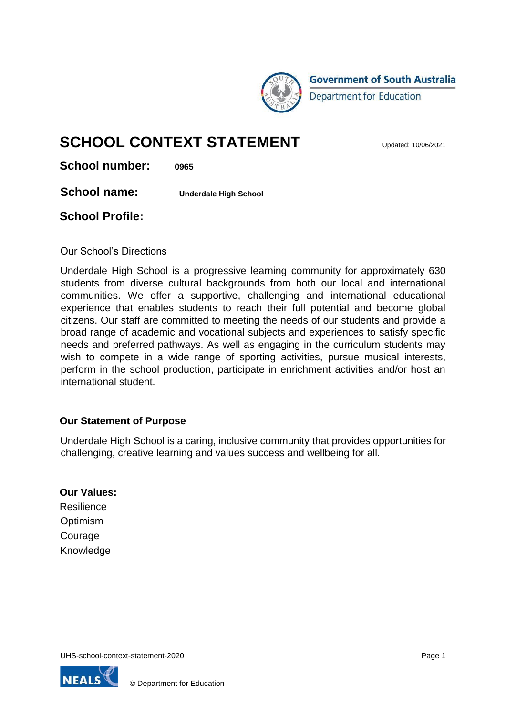

**Government of South Australia** Department for Education

# **SCHOOL CONTEXT STATEMENT**

**School number: 0965**

**School name: Underdale High School**

#### **School Profile:**

Our School's Directions

Underdale High School is a progressive learning community for approximately 630 students from diverse cultural backgrounds from both our local and international communities. We offer a supportive, challenging and international educational experience that enables students to reach their full potential and become global citizens. Our staff are committed to meeting the needs of our students and provide a broad range of academic and vocational subjects and experiences to satisfy specific needs and preferred pathways. As well as engaging in the curriculum students may wish to compete in a wide range of sporting activities, pursue musical interests, perform in the school production, participate in enrichment activities and/or host an international student.

#### **Our Statement of Purpose**

Underdale High School is a caring, inclusive community that provides opportunities for challenging, creative learning and values success and wellbeing for all.

#### **Our Values:**

**Resilience Optimism** Courage Knowledge

UHS-school-context-statement-2020 **Page 1** Page 1

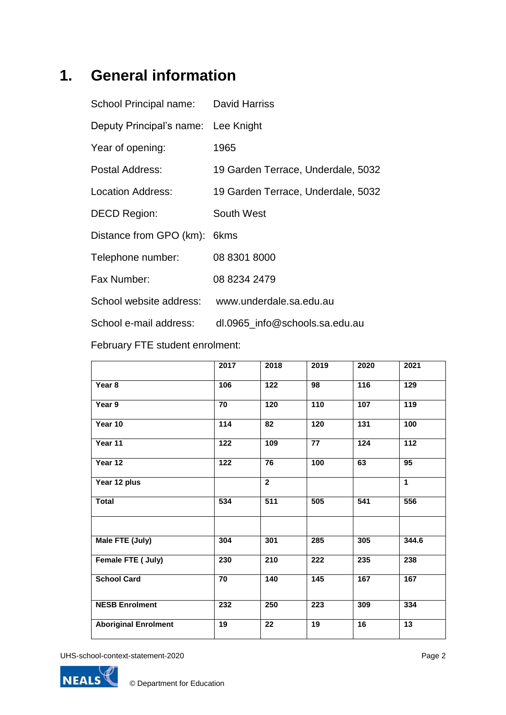# **1. General information**

| School Principal name:   | David Harriss                      |
|--------------------------|------------------------------------|
| Deputy Principal's name: | Lee Knight                         |
| Year of opening:         | 1965                               |
| Postal Address:          | 19 Garden Terrace, Underdale, 5032 |
| Location Address:        | 19 Garden Terrace, Underdale, 5032 |
| <b>DECD Region:</b>      | South West                         |
| Distance from GPO (km):  | 6kms                               |
| Telephone number:        | 08 8301 8000                       |
| Fax Number:              | 08 8234 2479                       |
| School website address:  | www.underdale.sa.edu.au            |
| School e-mail address:   | dl.0965 info@schools.sa.edu.au     |
|                          |                                    |

February FTE student enrolment:

|                             | 2017             | 2018            | 2019              | 2020            | 2021            |
|-----------------------------|------------------|-----------------|-------------------|-----------------|-----------------|
| Year 8                      | 106              | 122             | 98                | 116             | 129             |
| Year 9                      | 70               | 120             | 110               | 107             | 119             |
| Year 10                     | $\frac{1}{114}$  | 82              | $\overline{120}$  | 131             | 100             |
| Year 11                     | 122              | 109             | 77                | 124             | 112             |
| Year 12                     | $\overline{122}$ | 76              | 100               | 63              | 95              |
| Year 12 plus                |                  | $\overline{2}$  |                   |                 | $\mathbf{1}$    |
| <b>Total</b>                | 534              | 511             | 505               | 541             | 556             |
|                             |                  |                 |                   |                 |                 |
| Male FTE (July)             | 304              | 301             | 285               | 305             | 344.6           |
| Female FTE ( July)          | 230              | 210             | 222               | 235             | 238             |
| <b>School Card</b>          | 70               | 140             | $\frac{145}{145}$ | 167             | 167             |
| <b>NESB Enrolment</b>       | 232              | 250             | 223               | 309             | 334             |
| <b>Aboriginal Enrolment</b> | 19               | $\overline{22}$ | $\overline{19}$   | $\overline{16}$ | $\overline{13}$ |

UHS-school-context-statement-2020 **Page 2**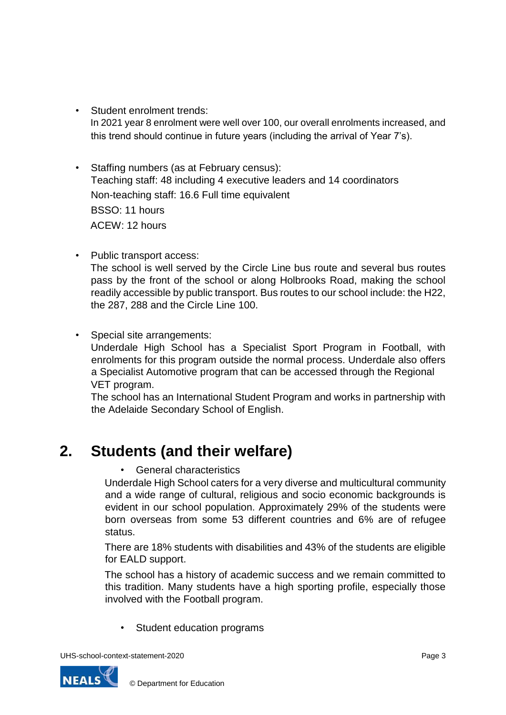- Student enrolment trends: In 2021 year 8 enrolment were well over 100, our overall enrolments increased, and this trend should continue in future years (including the arrival of Year 7's).
- Staffing numbers (as at February census): Teaching staff: 48 including 4 executive leaders and 14 coordinators Non-teaching staff: 16.6 Full time equivalent BSSO: 11 hours ACEW: 12 hours
- Public transport access:

The school is well served by the Circle Line bus route and several bus routes pass by the front of the school or along Holbrooks Road, making the school readily accessible by public transport. Bus routes to our school include: the H22, the 287, 288 and the Circle Line 100.

• Special site arrangements: Underdale High School has a Specialist Sport Program in Football, with enrolments for this program outside the normal process. Underdale also offers a Specialist Automotive program that can be accessed through the Regional VET program.

The school has an International Student Program and works in partnership with the Adelaide Secondary School of English.

### **2. Students (and their welfare)**

General characteristics

Underdale High School caters for a very diverse and multicultural community and a wide range of cultural, religious and socio economic backgrounds is evident in our school population. Approximately 29% of the students were born overseas from some 53 different countries and 6% are of refugee status.

There are 18% students with disabilities and 43% of the students are eligible for EALD support.

The school has a history of academic success and we remain committed to this tradition. Many students have a high sporting profile, especially those involved with the Football program.

Student education programs



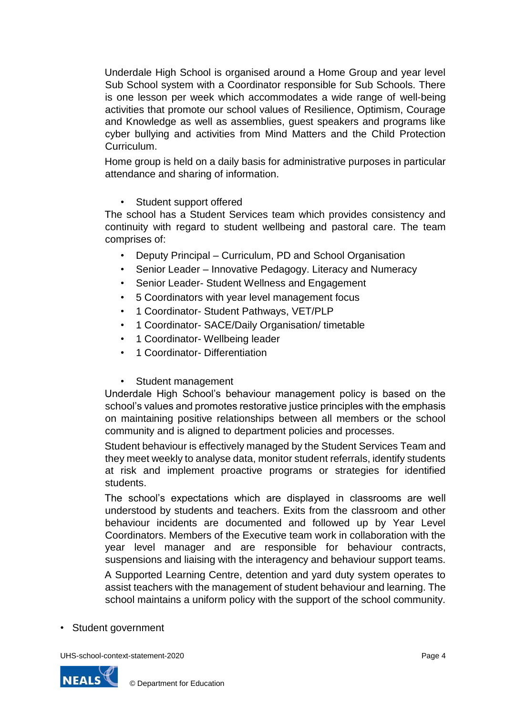Underdale High School is organised around a Home Group and year level Sub School system with a Coordinator responsible for Sub Schools. There is one lesson per week which accommodates a wide range of well-being activities that promote our school values of Resilience, Optimism, Courage and Knowledge as well as assemblies, guest speakers and programs like cyber bullying and activities from Mind Matters and the Child Protection **Curriculum** 

Home group is held on a daily basis for administrative purposes in particular attendance and sharing of information.

• Student support offered

The school has a Student Services team which provides consistency and continuity with regard to student wellbeing and pastoral care. The team comprises of:

- Deputy Principal Curriculum, PD and School Organisation
- Senior Leader Innovative Pedagogy. Literacy and Numeracy
- Senior Leader- Student Wellness and Engagement
- 5 Coordinators with year level management focus
- 1 Coordinator- Student Pathways, VET/PLP
- 1 Coordinator- SACE/Daily Organisation/ timetable
- 1 Coordinator- Wellbeing leader
- 1 Coordinator- Differentiation
- Student management

Underdale High School's behaviour management policy is based on the school's values and promotes restorative justice principles with the emphasis on maintaining positive relationships between all members or the school community and is aligned to department policies and processes.

Student behaviour is effectively managed by the Student Services Team and they meet weekly to analyse data, monitor student referrals, identify students at risk and implement proactive programs or strategies for identified students.

The school's expectations which are displayed in classrooms are well understood by students and teachers. Exits from the classroom and other behaviour incidents are documented and followed up by Year Level Coordinators. Members of the Executive team work in collaboration with the year level manager and are responsible for behaviour contracts, suspensions and liaising with the interagency and behaviour support teams.

A Supported Learning Centre, detention and yard duty system operates to assist teachers with the management of student behaviour and learning. The school maintains a uniform policy with the support of the school community.

• Student government

UHS-school-context-statement-2020 **Page 4** Page 4

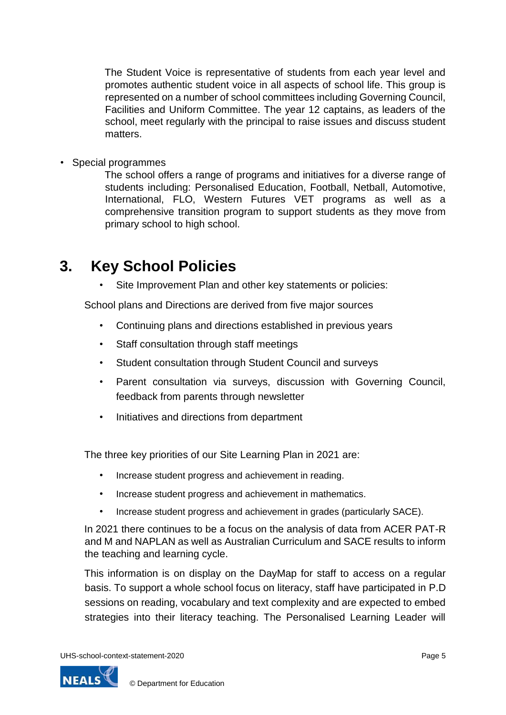The Student Voice is representative of students from each year level and promotes authentic student voice in all aspects of school life. This group is represented on a number of school committees including Governing Council, Facilities and Uniform Committee. The year 12 captains, as leaders of the school, meet regularly with the principal to raise issues and discuss student matters.

• Special programmes

The school offers a range of programs and initiatives for a diverse range of students including: Personalised Education, Football, Netball, Automotive, International, FLO, Western Futures VET programs as well as a comprehensive transition program to support students as they move from primary school to high school.

### **3. Key School Policies**

Site Improvement Plan and other key statements or policies:

School plans and Directions are derived from five major sources

- Continuing plans and directions established in previous years
- Staff consultation through staff meetings
- Student consultation through Student Council and surveys
- Parent consultation via surveys, discussion with Governing Council, feedback from parents through newsletter
- Initiatives and directions from department

The three key priorities of our Site Learning Plan in 2021 are:

- Increase student progress and achievement in reading.
- Increase student progress and achievement in mathematics.
- Increase student progress and achievement in grades (particularly SACE).

In 2021 there continues to be a focus on the analysis of data from ACER PAT-R and M and NAPLAN as well as Australian Curriculum and SACE results to inform the teaching and learning cycle.

This information is on display on the DayMap for staff to access on a regular basis. To support a whole school focus on literacy, staff have participated in P.D sessions on reading, vocabulary and text complexity and are expected to embed strategies into their literacy teaching. The Personalised Learning Leader will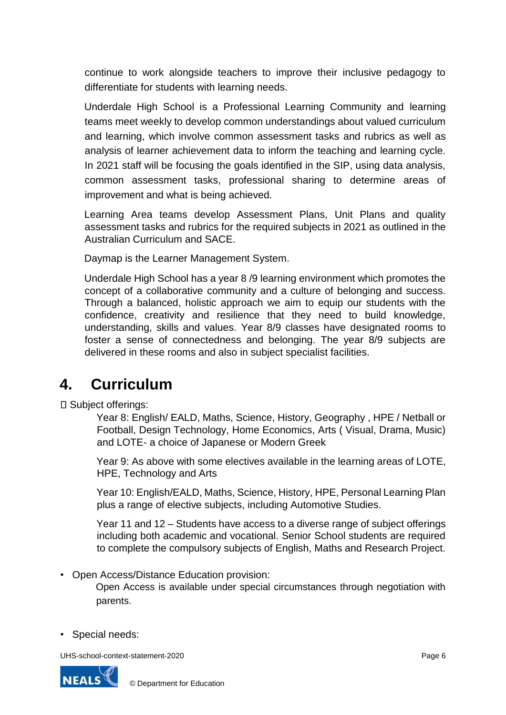continue to work alongside teachers to improve their inclusive pedagogy to differentiate for students with learning needs.

Underdale High School is a Professional Learning Community and learning teams meet weekly to develop common understandings about valued curriculum and learning, which involve common assessment tasks and rubrics as well as analysis of learner achievement data to inform the teaching and learning cycle. In 2021 staff will be focusing the goals identified in the SIP, using data analysis, common assessment tasks, professional sharing to determine areas of improvement and what is being achieved.

Learning Area teams develop Assessment Plans, Unit Plans and quality assessment tasks and rubrics for the required subjects in 2021 as outlined in the Australian Curriculum and SACE.

Daymap is the Learner Management System.

Underdale High School has a year 8 /9 learning environment which promotes the concept of a collaborative community and a culture of belonging and success. Through a balanced, holistic approach we aim to equip our students with the confidence, creativity and resilience that they need to build knowledge, understanding, skills and values. Year 8/9 classes have designated rooms to foster a sense of connectedness and belonging. The year 8/9 subjects are delivered in these rooms and also in subject specialist facilities.

### **4. Curriculum**

□ Subject offerings:

Year 8: English/ EALD, Maths, Science, History, Geography , HPE / Netball or Football, Design Technology, Home Economics, Arts ( Visual, Drama, Music) and LOTE- a choice of Japanese or Modern Greek

Year 9: As above with some electives available in the learning areas of LOTE, HPE, Technology and Arts

Year 10: English/EALD, Maths, Science, History, HPE, Personal Learning Plan plus a range of elective subjects, including Automotive Studies.

Year 11 and 12 – Students have access to a diverse range of subject offerings including both academic and vocational. Senior School students are required to complete the compulsory subjects of English, Maths and Research Project.

• Open Access/Distance Education provision:

Open Access is available under special circumstances through negotiation with parents.

• Special needs:

UHS-school-context-statement-2020 **Page 6** Page 6

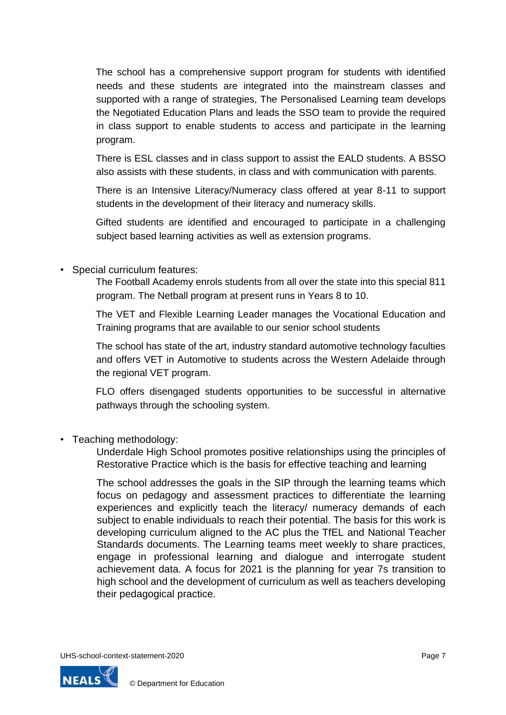The school has a comprehensive support program for students with identified needs and these students are integrated into the mainstream classes and supported with a range of strategies, The Personalised Learning team develops the Negotiated Education Plans and leads the SSO team to provide the required in class support to enable students to access and participate in the learning program.

There is ESL classes and in class support to assist the EALD students. A BSSO also assists with these students, in class and with communication with parents.

There is an Intensive Literacy/Numeracy class offered at year 8-11 to support students in the development of their literacy and numeracy skills.

Gifted students are identified and encouraged to participate in a challenging subject based learning activities as well as extension programs.

• Special curriculum features:

The Football Academy enrols students from all over the state into this special 811 program. The Netball program at present runs in Years 8 to 10.

The VET and Flexible Learning Leader manages the Vocational Education and Training programs that are available to our senior school students

The school has state of the art, industry standard automotive technology faculties and offers VET in Automotive to students across the Western Adelaide through the regional VET program.

FLO offers disengaged students opportunities to be successful in alternative pathways through the schooling system.

• Teaching methodology:

Underdale High School promotes positive relationships using the principles of Restorative Practice which is the basis for effective teaching and learning

The school addresses the goals in the SIP through the learning teams which focus on pedagogy and assessment practices to differentiate the learning experiences and explicitly teach the literacy/ numeracy demands of each subject to enable individuals to reach their potential. The basis for this work is developing curriculum aligned to the AC plus the TfEL and National Teacher Standards documents. The Learning teams meet weekly to share practices, engage in professional learning and dialogue and interrogate student achievement data. A focus for 2021 is the planning for year 7s transition to high school and the development of curriculum as well as teachers developing their pedagogical practice.

UHS-school-context-statement-2020 **Page 7** Page 7

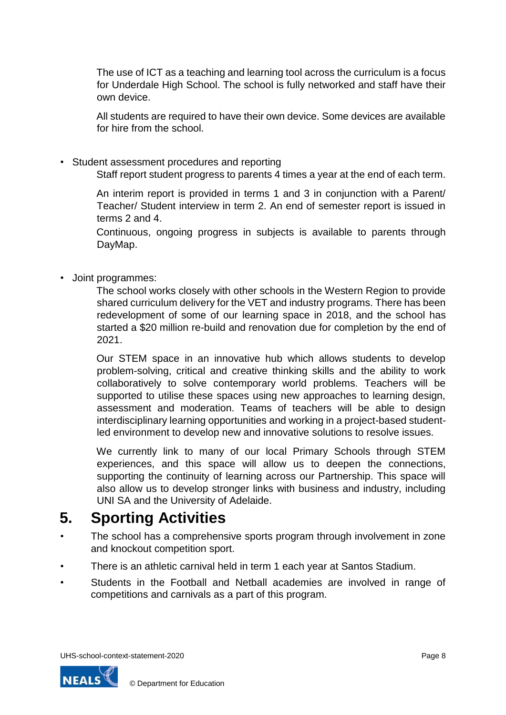The use of ICT as a teaching and learning tool across the curriculum is a focus for Underdale High School. The school is fully networked and staff have their own device.

All students are required to have their own device. Some devices are available for hire from the school.

• Student assessment procedures and reporting Staff report student progress to parents 4 times a year at the end of each term.

An interim report is provided in terms 1 and 3 in conjunction with a Parent/ Teacher/ Student interview in term 2. An end of semester report is issued in terms 2 and 4.

Continuous, ongoing progress in subjects is available to parents through DayMap.

• Joint programmes:

The school works closely with other schools in the Western Region to provide shared curriculum delivery for the VET and industry programs. There has been redevelopment of some of our learning space in 2018, and the school has started a \$20 million re-build and renovation due for completion by the end of 2021.

Our STEM space in an innovative hub which allows students to develop problem-solving, critical and creative thinking skills and the ability to work collaboratively to solve contemporary world problems. Teachers will be supported to utilise these spaces using new approaches to learning design, assessment and moderation. Teams of teachers will be able to design interdisciplinary learning opportunities and working in a project-based studentled environment to develop new and innovative solutions to resolve issues.

We currently link to many of our local Primary Schools through STEM experiences, and this space will allow us to deepen the connections, supporting the continuity of learning across our Partnership. This space will also allow us to develop stronger links with business and industry, including UNI SA and the University of Adelaide.

## **5. Sporting Activities**

- The school has a comprehensive sports program through involvement in zone and knockout competition sport.
- There is an athletic carnival held in term 1 each year at Santos Stadium.
- Students in the Football and Netball academies are involved in range of competitions and carnivals as a part of this program.

UHS-school-context-statement-2020 **Page 8** Page 8

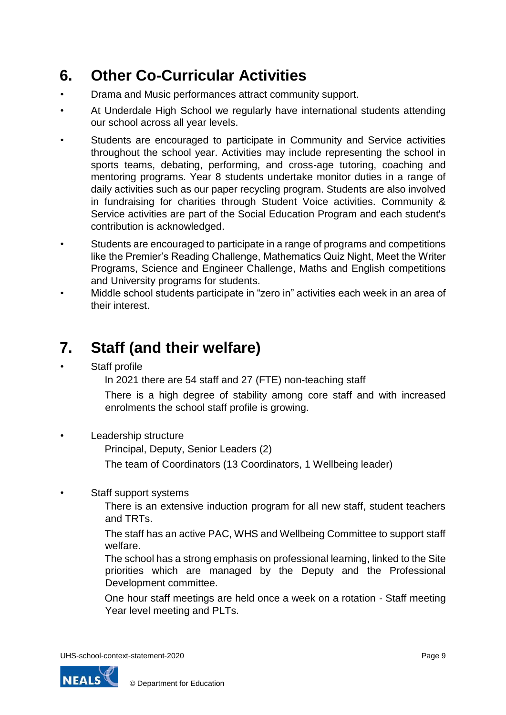## **6. Other Co-Curricular Activities**

- Drama and Music performances attract community support.
- At Underdale High School we regularly have international students attending our school across all year levels.
- Students are encouraged to participate in Community and Service activities throughout the school year. Activities may include representing the school in sports teams, debating, performing, and cross-age tutoring, coaching and mentoring programs. Year 8 students undertake monitor duties in a range of daily activities such as our paper recycling program. Students are also involved in fundraising for charities through Student Voice activities. Community & Service activities are part of the Social Education Program and each student's contribution is acknowledged.
- Students are encouraged to participate in a range of programs and competitions like the Premier's Reading Challenge, Mathematics Quiz Night, Meet the Writer Programs, Science and Engineer Challenge, Maths and English competitions and University programs for students.
- Middle school students participate in "zero in" activities each week in an area of their interest.

## **7. Staff (and their welfare)**

Staff profile

In 2021 there are 54 staff and 27 (FTE) non-teaching staff

There is a high degree of stability among core staff and with increased enrolments the school staff profile is growing.

• Leadership structure

Principal, Deputy, Senior Leaders (2)

The team of Coordinators (13 Coordinators, 1 Wellbeing leader)

Staff support systems

There is an extensive induction program for all new staff, student teachers and TRTs.

The staff has an active PAC, WHS and Wellbeing Committee to support staff welfare.

The school has a strong emphasis on professional learning, linked to the Site priorities which are managed by the Deputy and the Professional Development committee.

One hour staff meetings are held once a week on a rotation - Staff meeting Year level meeting and PLTs.

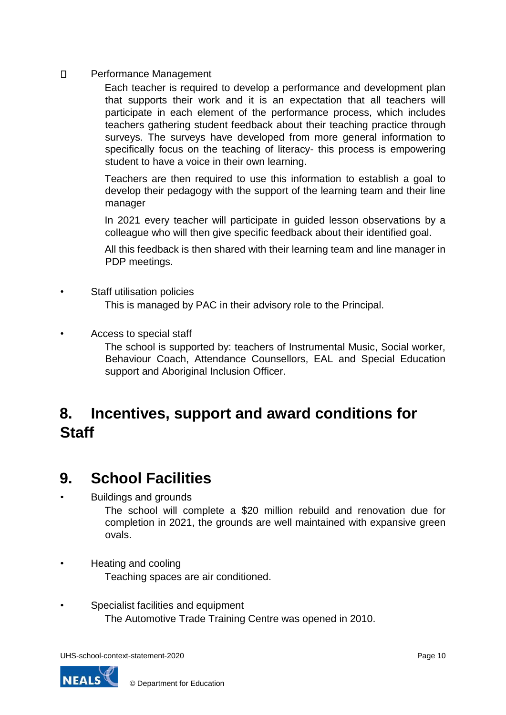$\Box$ Performance Management

> Each teacher is required to develop a performance and development plan that supports their work and it is an expectation that all teachers will participate in each element of the performance process, which includes teachers gathering student feedback about their teaching practice through surveys. The surveys have developed from more general information to specifically focus on the teaching of literacy- this process is empowering student to have a voice in their own learning.

> Teachers are then required to use this information to establish a goal to develop their pedagogy with the support of the learning team and their line manager

> In 2021 every teacher will participate in guided lesson observations by a colleague who will then give specific feedback about their identified goal.

> All this feedback is then shared with their learning team and line manager in PDP meetings.

- Staff utilisation policies This is managed by PAC in their advisory role to the Principal.
- Access to special staff

The school is supported by: teachers of Instrumental Music, Social worker, Behaviour Coach, Attendance Counsellors, EAL and Special Education support and Aboriginal Inclusion Officer.

## **8. Incentives, support and award conditions for Staff**

#### **9. School Facilities**

• Buildings and grounds

The school will complete a \$20 million rebuild and renovation due for completion in 2021, the grounds are well maintained with expansive green ovals.

- Heating and cooling Teaching spaces are air conditioned.
- Specialist facilities and equipment The Automotive Trade Training Centre was opened in 2010.

UHS-school-context-statement-2020 example of the context of the context of the context of the context of the context of the context of the context of the context of the context of the context of the context of the context

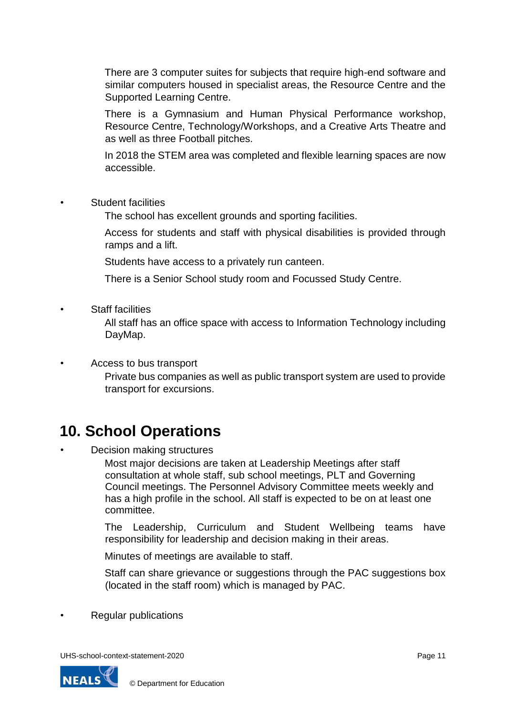There are 3 computer suites for subjects that require high-end software and similar computers housed in specialist areas, the Resource Centre and the Supported Learning Centre.

There is a Gymnasium and Human Physical Performance workshop, Resource Centre, Technology/Workshops, and a Creative Arts Theatre and as well as three Football pitches.

In 2018 the STEM area was completed and flexible learning spaces are now accessible.

• Student facilities

The school has excellent grounds and sporting facilities.

Access for students and staff with physical disabilities is provided through ramps and a lift.

Students have access to a privately run canteen.

There is a Senior School study room and Focussed Study Centre.

**Staff facilities** 

All staff has an office space with access to Information Technology including DayMap.

• Access to bus transport Private bus companies as well as public transport system are used to provide transport for excursions.

## **10. School Operations**

• Decision making structures

Most major decisions are taken at Leadership Meetings after staff consultation at whole staff, sub school meetings, PLT and Governing Council meetings. The Personnel Advisory Committee meets weekly and has a high profile in the school. All staff is expected to be on at least one committee.

The Leadership, Curriculum and Student Wellbeing teams have responsibility for leadership and decision making in their areas.

Minutes of meetings are available to staff.

Staff can share grievance or suggestions through the PAC suggestions box (located in the staff room) which is managed by PAC.

• Regular publications

UHS-school-context-statement-2020 example of the context of the page 11 and the context-statement-2020

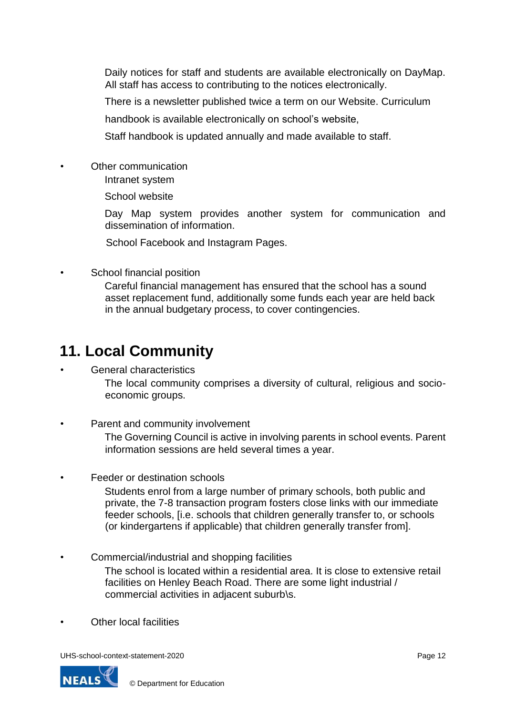Daily notices for staff and students are available electronically on DayMap. All staff has access to contributing to the notices electronically.

There is a newsletter published twice a term on our Website. Curriculum

handbook is available electronically on school's website,

Staff handbook is updated annually and made available to staff.

- Other communication
	- Intranet system

School website

Day Map system provides another system for communication and dissemination of information.

School Facebook and Instagram Pages.

School financial position

Careful financial management has ensured that the school has a sound asset replacement fund, additionally some funds each year are held back in the annual budgetary process, to cover contingencies.

#### **11. Local Community**

#### • General characteristics

The local community comprises a diversity of cultural, religious and socioeconomic groups.

Parent and community involvement

The Governing Council is active in involving parents in school events. Parent information sessions are held several times a year.

Feeder or destination schools

Students enrol from a large number of primary schools, both public and private, the 7-8 transaction program fosters close links with our immediate feeder schools, [i.e. schools that children generally transfer to, or schools (or kindergartens if applicable) that children generally transfer from].

- Commercial/industrial and shopping facilities The school is located within a residential area. It is close to extensive retail facilities on Henley Beach Road. There are some light industrial / commercial activities in adjacent suburb\s.
- Other local facilities

UHS-school-context-statement-2020 **Page 12** Page 12